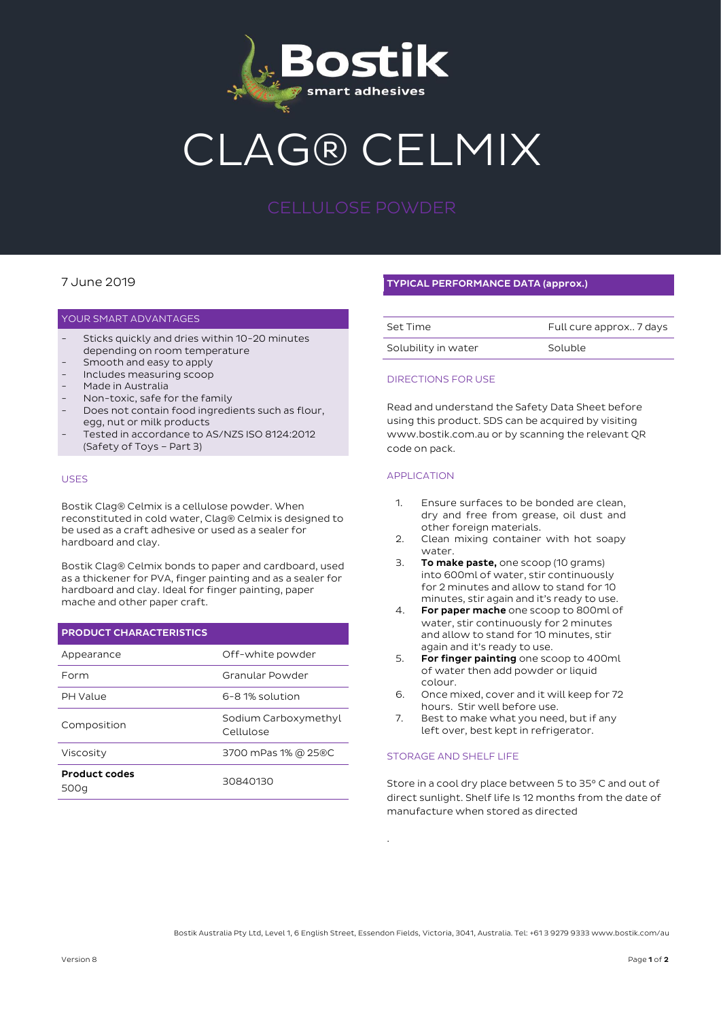

# G® CELMIX

### 7 June 2019

#### YOUR SMART ADVANTAGES

- Sticks quickly and dries within 10-20 minutes depending on room temperature
- Smooth and easy to apply
- Includes measuring scoop
- Made in Australia
- Non-toxic, safe for the family
- Does not contain food ingredients such as flour, egg, nut or milk products
- Tested in accordance to AS/NZS ISO 8124:2012 (Safety of Toys – Part 3)

#### USES

Bostik Clag® Celmix is a cellulose powder. When reconstituted in cold water, Clag® Celmix is designed to be used as a craft adhesive or used as a sealer for hardboard and clay.

Bostik Clag® Celmix bonds to paper and cardboard, used as a thickener for PVA, finger painting and as a sealer for hardboard and clay. Ideal for finger painting, paper mache and other paper craft.

| <b>PRODUCT CHARACTERISTICS</b> |                                   |
|--------------------------------|-----------------------------------|
| Appearance                     | Off-white powder                  |
| Form                           | Granular Powder                   |
| <b>PH Value</b>                | 6-8.1% solution                   |
| Composition                    | Sodium Carboxymethyl<br>Cellulose |
| Viscosity                      | 3700 mPas 1% @ 25®C               |
| <b>Product codes</b><br>500a   | 30840130                          |

### TYPICAL PERFORMANCE DATA (approx.)

| Set Time            | Full cure approx 7 days |
|---------------------|-------------------------|
| Solubility in water | Soluble                 |

#### DIRECTIONS FOR USE

Read and understand the Safety Data Sheet before using this product. SDS can be acquired by visiting www.bostik.com.au or by scanning the relevant QR code on pack.

#### APPLICATION

- 1. Ensure surfaces to be bonded are clean, dry and free from grease, oil dust and other foreign materials.
- 2. Clean mixing container with hot soapy water.
- 3. To make paste, one scoop (10 grams) into 600ml of water, stir continuously for 2 minutes and allow to stand for 10 minutes, stir again and it's ready to use.
- 4. For paper mache one scoop to 800ml of water, stir continuously for 2 minutes and allow to stand for 10 minutes, stir again and it's ready to use.
- 5. For finger painting one scoop to 400ml of water then add powder or liquid colour.
- 6. Once mixed, cover and it will keep for 72 hours. Stir well before use.
- 7. Best to make what you need, but if any left over, best kept in refrigerator.

#### STORAGE AND SHELF LIFE

Store in a cool dry place between 5 to 35° C and out of direct sunlight. Shelf life Is 12 months from the date of manufacture when stored as directed

Bostik Australia Pty Ltd, Level 1, 6 English Street, Essendon Fields, Victoria, 3041, Australia. Tel: +61 3 9279 9333 www.bostik.com/au

.